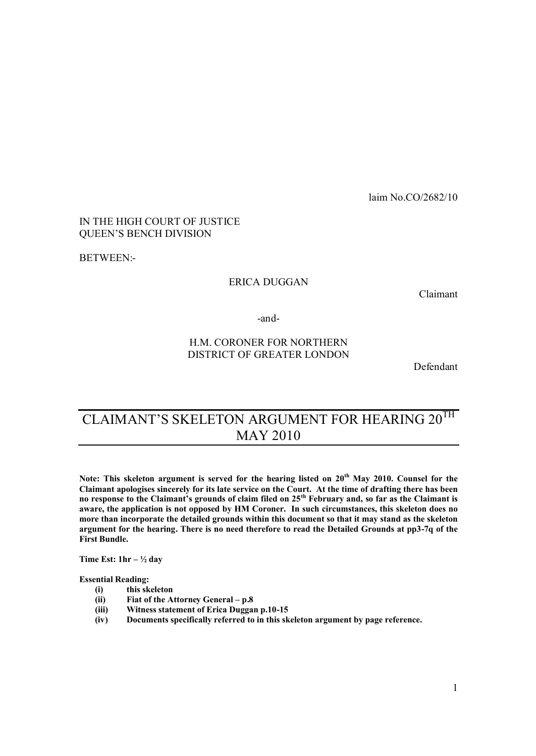laim No.CO/2682/10

## IN THE HIGH COURT OF JUSTICE QUEEN'S BENCH DIVISION

BETWEEN:-

## ERICA DUGGAN

Claimant

-and-

# H.M. CORONER FOR NORTHERN DISTRICT OF GREATER LONDON

Defendant

# CLAIMANT'S SKELETON ARGUMENT FOR HEARING 20<sup>TH</sup> MAY 2010

**Note: This skeleton argument is served for the hearing listed on 20th May 2010. Counsel for the Claimant apologises sincerely for its late service on the Court. At the time of drafting there has been no response to the Claimant's grounds of claim filed on 25th February and, so far as the Claimant is aware, the application is not opposed by HM Coroner. In such circumstances, this skeleton does no more than incorporate the detailed grounds within this document so that it may stand as the skeleton argument for the hearing. There is no need therefore to read the Detailed Grounds at pp3-7q of the First Bundle.**

**Time Est: 1hr – " day**

**Essential Reading:**

- **(i) this skeleton**
- **(ii) Fiat of the Attorney General – p.8**
- **(iii) Witness statement of Erica Duggan p.10-15**
- **(iv) Documents specifically referred to in this skeleton argument by page reference.**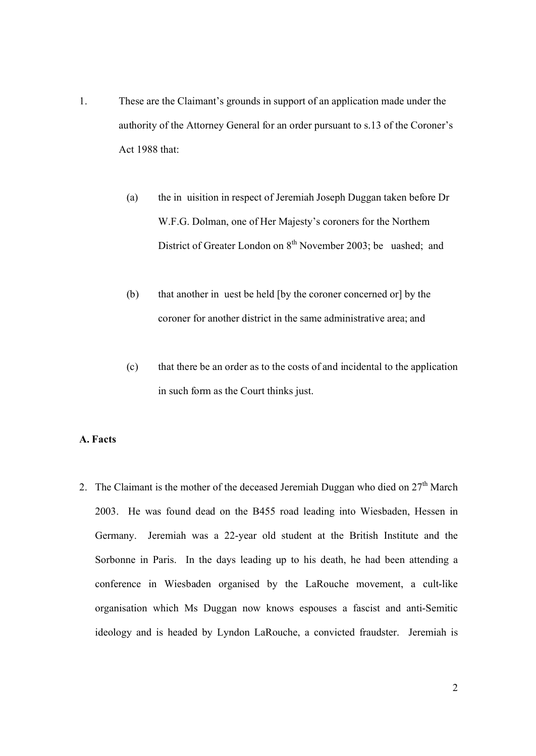- 1. These are the Claimant's grounds in support of an application made under the authority of the Attorney General for an order pursuant to s.13 of the Coroner's Act 1988 that:
	- (a) the in uisition in respect of Jeremiah Joseph Duggan taken before Dr W.F.G. Dolman, one of Her Majesty's coroners for the Northern District of Greater London on 8<sup>th</sup> November 2003; be uashed; and
	- (b) that another in uest be held [by the coroner concerned or] by the coroner for another district in the same administrative area; and
	- (c) that there be an order as to the costs of and incidental to the application in such form as the Court thinks just.

## **A. Facts**

2. The Claimant is the mother of the deceased Jeremiah Duggan who died on 27<sup>th</sup> March 2003. He was found dead on the B455 road leading into Wiesbaden, Hessen in Germany. Jeremiah was a 22-year old student at the British Institute and the Sorbonne in Paris. In the days leading up to his death, he had been attending a conference in Wiesbaden organised by the LaRouche movement, a cult-like organisation which Ms Duggan now knows espouses a fascist and anti-Semitic ideology and is headed by Lyndon LaRouche, a convicted fraudster. Jeremiah is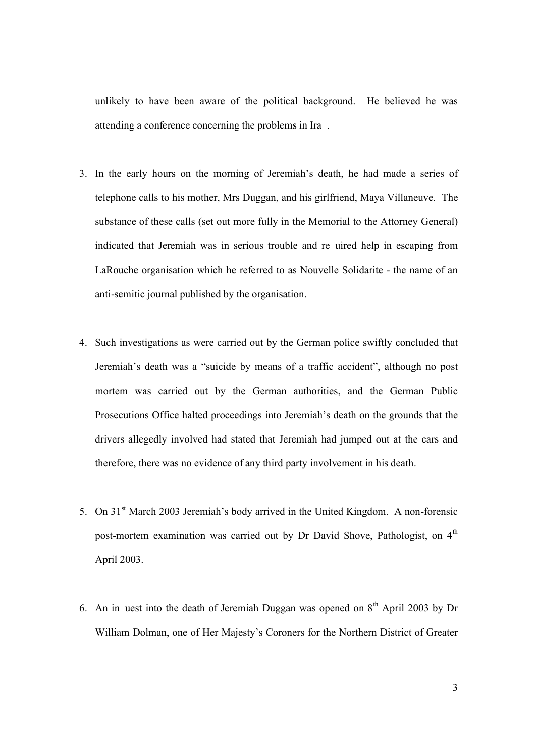unlikely to have been aware of the political background. He believed he was attending a conference concerning the problems in Ira .

- 3. In the early hours on the morning of Jeremiah's death, he had made a series of telephone calls to his mother, Mrs Duggan, and his girlfriend, Maya Villaneuve. The substance of these calls (set out more fully in the Memorial to the Attorney General) indicated that Jeremiah was in serious trouble and re uired help in escaping from LaRouche organisation which he referred to as Nouvelle Solidarite - the name of an anti-semitic journal published by the organisation.
- 4. Such investigations as were carried out by the German police swiftly concluded that Jeremiah's death was a "suicide by means of a traffic accident", although no post mortem was carried out by the German authorities, and the German Public Prosecutions Office halted proceedings into Jeremiah's death on the grounds that the drivers allegedly involved had stated that Jeremiah had jumped out at the cars and therefore, there was no evidence of any third party involvement in his death.
- 5. On  $31<sup>st</sup>$  March 2003 Jeremiah's body arrived in the United Kingdom. A non-forensic post-mortem examination was carried out by Dr David Shove, Pathologist, on  $4<sup>th</sup>$ April 2003.
- 6. An in uest into the death of Jeremiah Duggan was opened on  $8<sup>th</sup>$  April 2003 by Dr William Dolman, one of Her Majesty's Coroners for the Northern District of Greater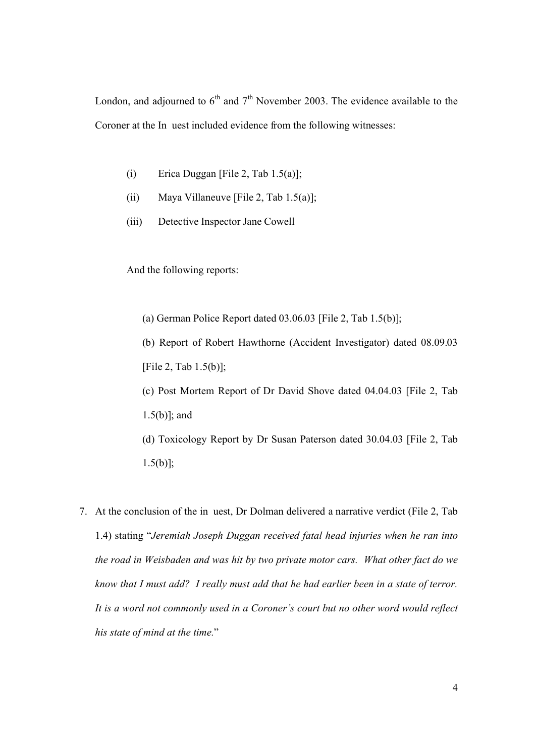London, and adjourned to  $6<sup>th</sup>$  and  $7<sup>th</sup>$  November 2003. The evidence available to the Coroner at the In uest included evidence from the following witnesses:

- (i) Erica Duggan [File 2, Tab  $1.5(a)$ ];
- (ii) Maya Villaneuve [File 2, Tab  $1.5(a)$ ];
- (iii) Detective Inspector Jane Cowell

And the following reports:

(a) German Police Report dated 03.06.03 [File 2, Tab 1.5(b)];

(b) Report of Robert Hawthorne (Accident Investigator) dated 08.09.03 [File 2, Tab 1.5(b)];

(c) Post Mortem Report of Dr David Shove dated 04.04.03 [File 2, Tab 1.5(b)]; and

(d) Toxicology Report by Dr Susan Paterson dated 30.04.03 [File 2, Tab  $1.5(b)$ ];

7. At the conclusion of the in uest, Dr Dolman delivered a narrative verdict (File 2, Tab 1.4) stating "*Jeremiah Joseph Duggan received fatal head injuries when he ran into the road in Weisbaden and was hit by two private motor cars. What other fact do we know that I must add? I really must add that he had earlier been in a state of terror. It is a word not commonly used in a Coroner's court but no other word would reflect his state of mind at the time.*"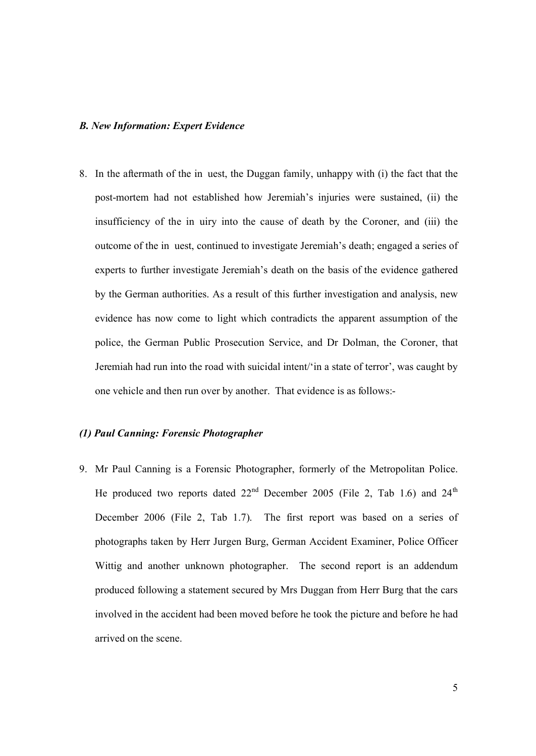#### *B. New Information: Expert Evidence*

8. In the aftermath of the in uest, the Duggan family, unhappy with (i) the fact that the post-mortem had not established how Jeremiah's injuries were sustained, (ii) the insufficiency of the in uiry into the cause of death by the Coroner, and (iii) the outcome of the in uest, continued to investigate Jeremiah's death; engaged a series of experts to further investigate Jeremiah's death on the basis of the evidence gathered by the German authorities. As a result of this further investigation and analysis, new evidence has now come to light which contradicts the apparent assumption of the police, the German Public Prosecution Service, and Dr Dolman, the Coroner, that Jeremiah had run into the road with suicidal intent/'in a state of terror', was caught by one vehicle and then run over by another. That evidence is as follows:-

## *(1) Paul Canning: Forensic Photographer*

9. Mr Paul Canning is a Forensic Photographer, formerly of the Metropolitan Police. He produced two reports dated  $22<sup>nd</sup>$  December 2005 (File 2, Tab 1.6) and  $24<sup>th</sup>$ December 2006 (File 2, Tab 1.7). The first report was based on a series of photographs taken by Herr Jurgen Burg, German Accident Examiner, Police Officer Wittig and another unknown photographer. The second report is an addendum produced following a statement secured by Mrs Duggan from Herr Burg that the cars involved in the accident had been moved before he took the picture and before he had arrived on the scene.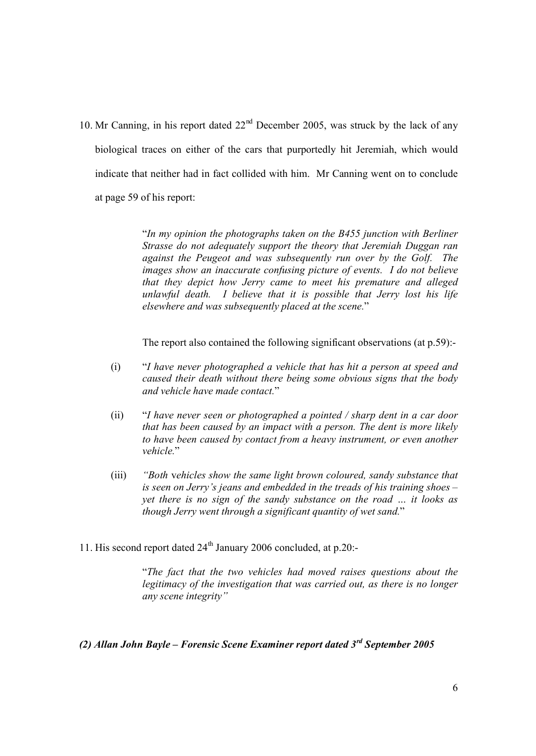10. Mr Canning, in his report dated  $22<sup>nd</sup>$  December 2005, was struck by the lack of any biological traces on either of the cars that purportedly hit Jeremiah, which would indicate that neither had in fact collided with him. Mr Canning went on to conclude at page 59 of his report:

> "*In my opinion the photographs taken on the B455 junction with Berliner Strasse do not adequately support the theory that Jeremiah Duggan ran against the Peugeot and was subsequently run over by the Golf. The images show an inaccurate confusing picture of events. I do not believe that they depict how Jerry came to meet his premature and alleged unlawful death. I believe that it is possible that Jerry lost his life elsewhere and was subsequently placed at the scene.*"

> The report also contained the following significant observations (at p.59):-

- (i) "*I have never photographed a vehicle that has hit a person at speed and caused their death without there being some obvious signs that the body and vehicle have made contact.*"
- (ii) "*I have never seen or photographed a pointed / sharp dent in a car door that has been caused by an impact with a person. The dent is more likely to have been caused by contact from a heavy instrument, or even another vehicle.*"
- (iii) *"Both* v*ehicles show the same light brown coloured, sandy substance that is seen on Jerry's jeans and embedded in the treads of his training shoes – yet there is no sign of the sandy substance on the road … it looks as though Jerry went through a significant quantity of wet sand.*"
- 11. His second report dated 24<sup>th</sup> January 2006 concluded, at p.20:-

"*The fact that the two vehicles had moved raises questions about the legitimacy of the investigation that was carried out, as there is no longer any scene integrity"*

## *(2) Allan John Bayle – Forensic Scene Examiner report dated 3rd September 2005*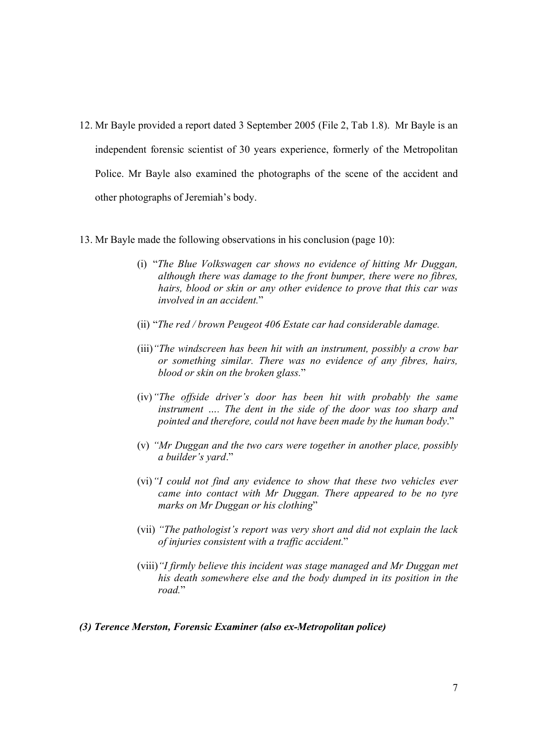- 12. Mr Bayle provided a report dated 3 September 2005 (File 2, Tab 1.8). Mr Bayle is an independent forensic scientist of 30 years experience, formerly of the Metropolitan Police. Mr Bayle also examined the photographs of the scene of the accident and other photographs of Jeremiah's body.
- 13. Mr Bayle made the following observations in his conclusion (page 10):
	- (i) "*The Blue Volkswagen car shows no evidence of hitting Mr Duggan, although there was damage to the front bumper, there were no fibres, hairs, blood or skin or any other evidence to prove that this car was involved in an accident.*"
	- (ii) "*The red / brown Peugeot 406 Estate car had considerable damage.*
	- (iii)*"The windscreen has been hit with an instrument, possibly a crow bar or something similar. There was no evidence of any fibres, hairs, blood or skin on the broken glass.*"
	- (iv)*"The offside driver's door has been hit with probably the same instrument …. The dent in the side of the door was too sharp and pointed and therefore, could not have been made by the human body*."
	- (v) *"Mr Duggan and the two cars were together in another place, possibly a builder's yard*."
	- (vi)*"I could not find any evidence to show that these two vehicles ever came into contact with Mr Duggan. There appeared to be no tyre marks on Mr Duggan or his clothing*"
	- (vii) *"The pathologist's report was very short and did not explain the lack of injuries consistent with a traffic accident.*"
	- (viii)*"I firmly believe this incident was stage managed and Mr Duggan met his death somewhere else and the body dumped in its position in the road.*"

#### *(3) Terence Merston, Forensic Examiner (also ex-Metropolitan police)*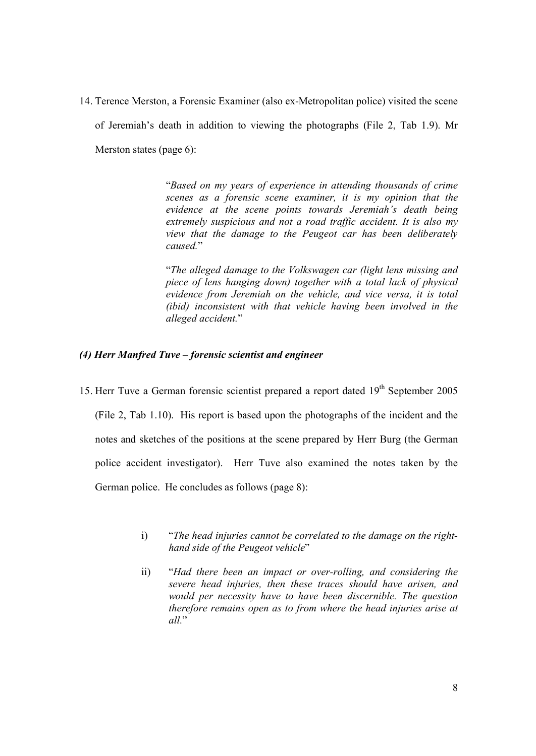14. Terence Merston, a Forensic Examiner (also ex-Metropolitan police) visited the scene of Jeremiah's death in addition to viewing the photographs (File 2, Tab 1.9). Mr Merston states (page 6):

> "*Based on my years of experience in attending thousands of crime scenes as a forensic scene examiner, it is my opinion that the evidence at the scene points towards Jeremiah's death being extremely suspicious and not a road traffic accident. It is also my view that the damage to the Peugeot car has been deliberately caused.*"

> "*The alleged damage to the Volkswagen car (light lens missing and piece of lens hanging down) together with a total lack of physical evidence from Jeremiah on the vehicle, and vice versa, it is total (ibid) inconsistent with that vehicle having been involved in the alleged accident.*"

## *(4) Herr Manfred Tuve – forensic scientist and engineer*

- 15. Herr Tuve a German forensic scientist prepared a report dated  $19<sup>th</sup>$  September 2005 (File 2, Tab 1.10). His report is based upon the photographs of the incident and the notes and sketches of the positions at the scene prepared by Herr Burg (the German police accident investigator). Herr Tuve also examined the notes taken by the German police. He concludes as follows (page 8):
	- i) "*The head injuries cannot be correlated to the damage on the righthand side of the Peugeot vehicle*"
	- ii) "*Had there been an impact or over-rolling, and considering the severe head injuries, then these traces should have arisen, and would per necessity have to have been discernible. The question therefore remains open as to from where the head injuries arise at all.*"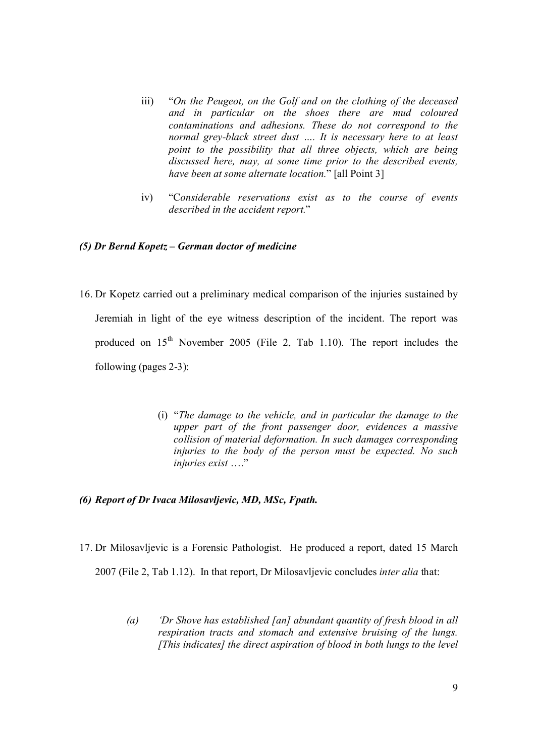- iii) "*On the Peugeot, on the Golf and on the clothing of the deceased and in particular on the shoes there are mud coloured contaminations and adhesions. These do not correspond to the normal grey-black street dust …. It is necessary here to at least point to the possibility that all three objects, which are being discussed here, may, at some time prior to the described events, have been at some alternate location.*" [all Point 3]
- iv) "C*onsiderable reservations exist as to the course of events described in the accident report.*"

## *(5) Dr Bernd Kopetz – German doctor of medicine*

- 16. Dr Kopetz carried out a preliminary medical comparison of the injuries sustained by Jeremiah in light of the eye witness description of the incident. The report was produced on  $15<sup>th</sup>$  November 2005 (File 2, Tab 1.10). The report includes the following (pages 2-3):
	- (i) "*The damage to the vehicle, and in particular the damage to the upper part of the front passenger door, evidences a massive collision of material deformation. In such damages corresponding injuries to the body of the person must be expected. No such injuries exist* …."

#### *(6) Report of Dr Ivaca Milosavljevic, MD, MSc, Fpath.*

- 17. Dr Milosavljevic is a Forensic Pathologist. He produced a report, dated 15 March 2007 (File 2, Tab 1.12). In that report, Dr Milosavljevic concludes *inter alia* that:
	- *(a) 'Dr Shove has established [an] abundant quantity of fresh blood in all respiration tracts and stomach and extensive bruising of the lungs. [This indicates] the direct aspiration of blood in both lungs to the level*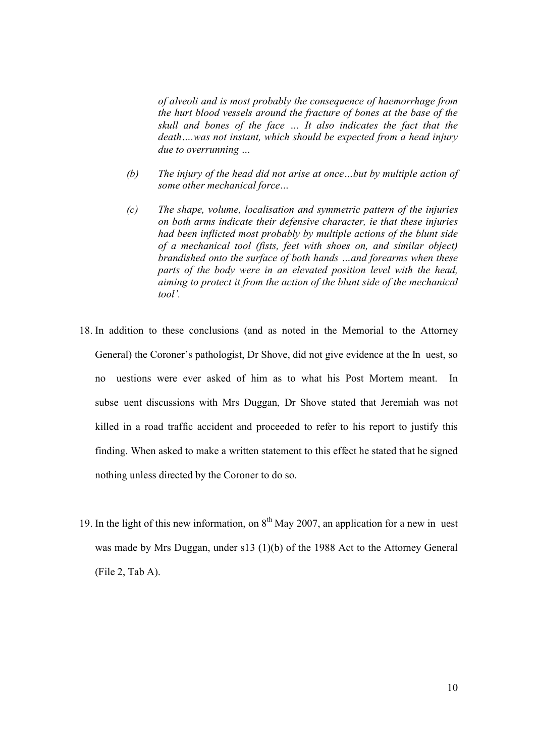*of alveoli and is most probably the consequence of haemorrhage from the hurt blood vessels around the fracture of bones at the base of the skull and bones of the face … It also indicates the fact that the death….was not instant, which should be expected from a head injury due to overrunning …*

- *(b) The injury of the head did not arise at once…but by multiple action of some other mechanical force…*
- *(c) The shape, volume, localisation and symmetric pattern of the injuries on both arms indicate their defensive character, ie that these injuries had been inflicted most probably by multiple actions of the blunt side of a mechanical tool (fists, feet with shoes on, and similar object) brandished onto the surface of both hands …and forearms when these parts of the body were in an elevated position level with the head, aiming to protect it from the action of the blunt side of the mechanical tool'.*
- 18. In addition to these conclusions (and as noted in the Memorial to the Attorney General) the Coroner's pathologist, Dr Shove, did not give evidence at the In uest, so no uestions were ever asked of him as to what his Post Mortem meant. In subse uent discussions with Mrs Duggan, Dr Shove stated that Jeremiah was not killed in a road traffic accident and proceeded to refer to his report to justify this finding. When asked to make a written statement to this effect he stated that he signed nothing unless directed by the Coroner to do so.
- 19. In the light of this new information, on  $8<sup>th</sup>$  May 2007, an application for a new in uest was made by Mrs Duggan, under s13 (1)(b) of the 1988 Act to the Attorney General (File 2, Tab A).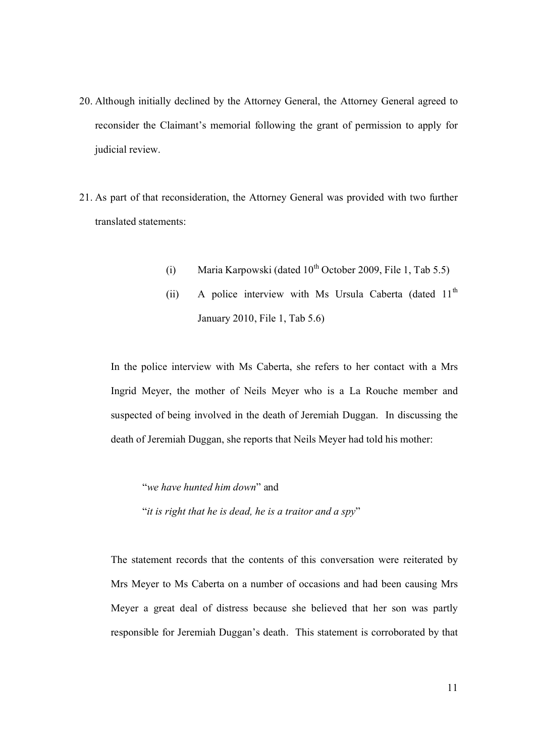- 20. Although initially declined by the Attorney General, the Attorney General agreed to reconsider the Claimant's memorial following the grant of permission to apply for judicial review.
- 21. As part of that reconsideration, the Attorney General was provided with two further translated statements:
	- (i) Maria Karpowski (dated  $10^{th}$  October 2009, File 1, Tab 5.5)
	- (ii) A police interview with Ms Ursula Caberta (dated  $11<sup>th</sup>$ January 2010, File 1, Tab 5.6)

In the police interview with Ms Caberta, she refers to her contact with a Mrs Ingrid Meyer, the mother of Neils Meyer who is a La Rouche member and suspected of being involved in the death of Jeremiah Duggan. In discussing the death of Jeremiah Duggan, she reports that Neils Meyer had told his mother:

"*we have hunted him down*" and

"*it is right that he is dead, he is a traitor and a spy*"

The statement records that the contents of this conversation were reiterated by Mrs Meyer to Ms Caberta on a number of occasions and had been causing Mrs Meyer a great deal of distress because she believed that her son was partly responsible for Jeremiah Duggan's death. This statement is corroborated by that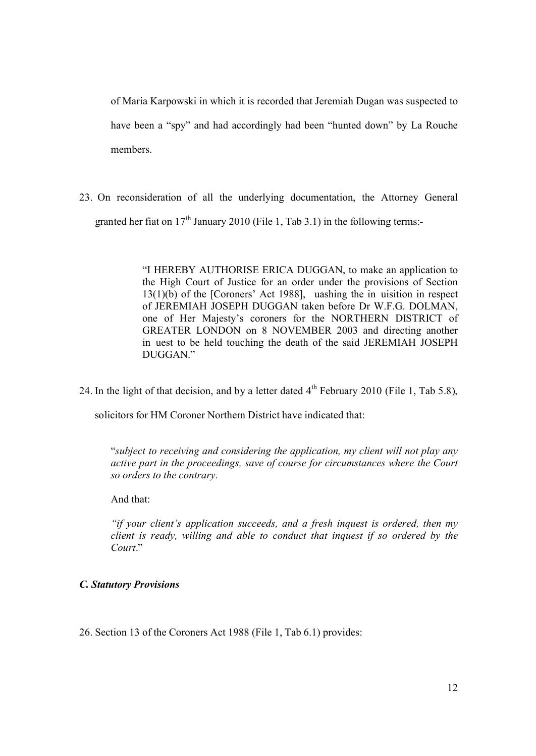of Maria Karpowski in which it is recorded that Jeremiah Dugan was suspected to have been a "spy" and had accordingly had been "hunted down" by La Rouche members.

23. On reconsideration of all the underlying documentation, the Attorney General granted her fiat on  $17<sup>th</sup>$  January 2010 (File 1, Tab 3.1) in the following terms:-

> "I HEREBY AUTHORISE ERICA DUGGAN, to make an application to the High Court of Justice for an order under the provisions of Section 13(1)(b) of the [Coroners' Act 1988], uashing the in uisition in respect of JEREMIAH JOSEPH DUGGAN taken before Dr W.F.G. DOLMAN, one of Her Majesty's coroners for the NORTHERN DISTRICT of GREATER LONDON on 8 NOVEMBER 2003 and directing another in uest to be held touching the death of the said JEREMIAH JOSEPH DUGGAN."

24. In the light of that decision, and by a letter dated  $4<sup>th</sup>$  February 2010 (File 1, Tab 5.8),

solicitors for HM Coroner Northern District have indicated that:

"*subject to receiving and considering the application, my client will not play any active part in the proceedings, save of course for circumstances where the Court so orders to the contrary.*

And that:

*"if your client's application succeeds, and a fresh inquest is ordered, then my client is ready, willing and able to conduct that inquest if so ordered by the Court*."

#### *C. Statutory Provisions*

26. Section 13 of the Coroners Act 1988 (File 1, Tab 6.1) provides: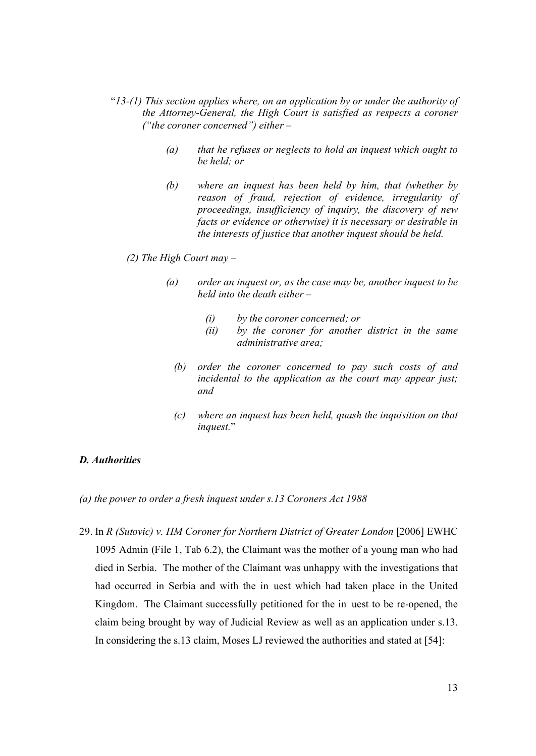- "*13-(1) This section applies where, on an application by or under the authority of the Attorney-General, the High Court is satisfied as respects a coroner ("the coroner concerned") either –*
	- *(a) that he refuses or neglects to hold an inquest which ought to be held; or*
	- *(b) where an inquest has been held by him, that (whether by reason of fraud, rejection of evidence, irregularity of proceedings, insufficiency of inquiry, the discovery of new facts or evidence or otherwise) it is necessary or desirable in the interests of justice that another inquest should be held.*

## *(2) The High Court may –*

- *(a) order an inquest or, as the case may be, another inquest to be held into the death either –*
	- *(i) by the coroner concerned; or*
	- *(ii) by the coroner for another district in the same administrative area;*
	- *(b) order the coroner concerned to pay such costs of and incidental to the application as the court may appear just; and*
	- *(c) where an inquest has been held, quash the inquisition on that inquest.*"

## *D. Authorities*

*(a) the power to order a fresh inquest under s.13 Coroners Act 1988*

29. In *R (Sutovic) v. HM Coroner for Northern District of Greater London* [2006] EWHC 1095 Admin (File 1, Tab 6.2), the Claimant was the mother of a young man who had died in Serbia. The mother of the Claimant was unhappy with the investigations that had occurred in Serbia and with the in uest which had taken place in the United Kingdom. The Claimant successfully petitioned for the in uest to be re-opened, the claim being brought by way of Judicial Review as well as an application under s.13. In considering the s.13 claim, Moses LJ reviewed the authorities and stated at [54]: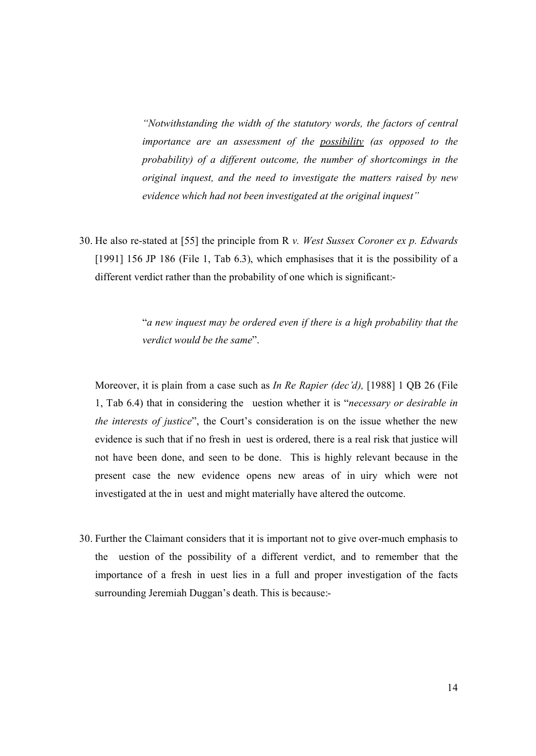*"Notwithstanding the width of the statutory words, the factors of central importance are an assessment of the possibility (as opposed to the probability) of a different outcome, the number of shortcomings in the original inquest, and the need to investigate the matters raised by new evidence which had not been investigated at the original inquest"*

30. He also re-stated at [55] the principle from R *v. West Sussex Coroner ex p. Edwards* [1991] 156 JP 186 (File 1, Tab 6.3), which emphasises that it is the possibility of a different verdict rather than the probability of one which is significant:-

> "*a new inquest may be ordered even if there is a high probability that the verdict would be the same*".

Moreover, it is plain from a case such as *In Re Rapier (dec'd),* [1988] 1 QB 26 (File 1, Tab 6.4) that in considering the uestion whether it is "*necessary or desirable in the interests of justice*", the Court's consideration is on the issue whether the new evidence is such that if no fresh in uest is ordered, there is a real risk that justice will not have been done, and seen to be done. This is highly relevant because in the present case the new evidence opens new areas of in uiry which were not investigated at the in uest and might materially have altered the outcome.

30. Further the Claimant considers that it is important not to give over-much emphasis to the uestion of the possibility of a different verdict, and to remember that the importance of a fresh in uest lies in a full and proper investigation of the facts surrounding Jeremiah Duggan's death. This is because:-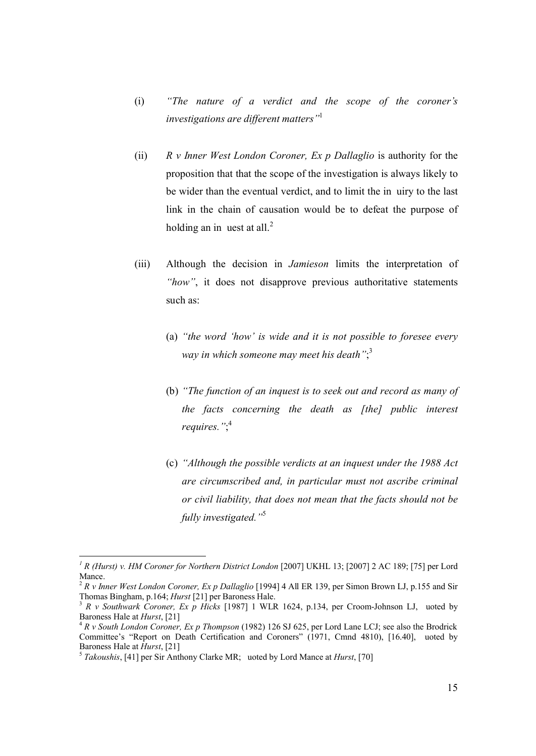- (i) *"The nature of a verdict and the scope of the coroner's investigations are different matters"*<sup>1</sup>
- (ii) *R v Inner West London Coroner, Ex p Dallaglio* is authority for the proposition that that the scope of the investigation is always likely to be wider than the eventual verdict, and to limit the in uiry to the last link in the chain of causation would be to defeat the purpose of holding an in uest at all. $^{2}$
- (iii) Although the decision in *Jamieson* limits the interpretation of *"how"*, it does not disapprove previous authoritative statements such as:
	- (a) *"the word 'how' is wide and it is not possible to foresee every way in which someone may meet his death"*; 3
	- (b) *"The function of an inquest is to seek out and record as many of the facts concerning the death as [the] public interest requires."*; 4
	- (c) *"Although the possible verdicts at an inquest under the 1988 Act are circumscribed and, in particular must not ascribe criminal or civil liability, that does not mean that the facts should not be fully investigated."*<sup>5</sup>

*<sup>1</sup> R (Hurst) v. HM Coroner for Northern District London* [2007] UKHL 13; [2007] 2 AC 189; [75] per Lord Mance.<br><sup>2</sup> *R v Inner West London Coroner, Ex p Dallaglio* [1994] 4 All ER 139, per Simon Brown LJ, p.155 and Sir

Thomas Bingham, p.164; *Hurst* [21] per Baroness Hale.<br><sup>3</sup> *R v Southwark Coroner, Ex p Hicks* [1987] 1 WLR 1624, p.134, per Croom-Johnson LJ, uoted by Baroness Hale at *Hurst*, [21]

<sup>&</sup>lt;sup>4</sup> *R v South London Coroner, Ex p Thompson* (1982) 126 SJ 625, per Lord Lane LCJ; see also the Brodrick Committee's "Report on Death Certification and Coroners" (1971, Cmnd 4810), [16.40], uoted by Baroness Hale at *Hurst*, [21]<br><sup>5</sup> *Takoushis*, [41] per Sir Anthony Clarke MR; uoted by Lord Mance at *Hurst*, [70]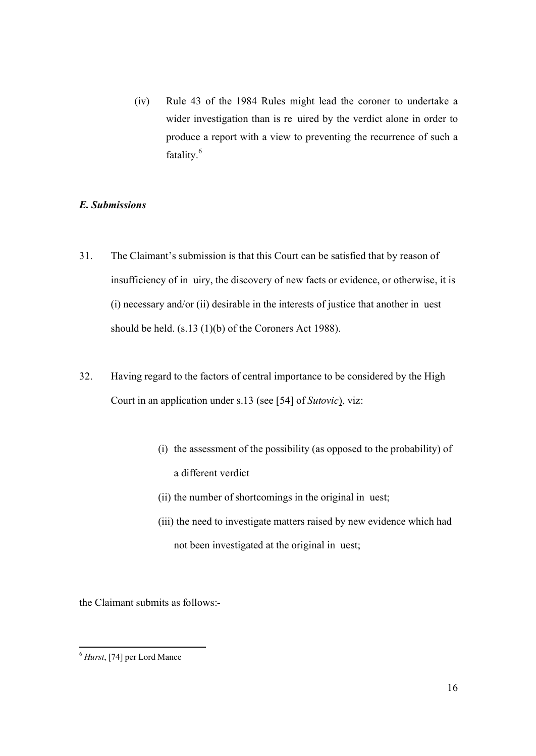(iv) Rule 43 of the 1984 Rules might lead the coroner to undertake a wider investigation than is re uired by the verdict alone in order to produce a report with a view to preventing the recurrence of such a fatality.<sup>6</sup>

## *E. Submissions*

- 31. The Claimant's submission is that this Court can be satisfied that by reason of insufficiency of in uiry, the discovery of new facts or evidence, or otherwise, it is (i) necessary and/or (ii) desirable in the interests of justice that another in uest should be held. (s.13 (1)(b) of the Coroners Act 1988).
- 32. Having regard to the factors of central importance to be considered by the High Court in an application under s.13 (see [54] of *Sutovic*), viz:
	- (i) the assessment of the possibility (as opposed to the probability) of a different verdict
	- (ii) the number of shortcomings in the original in uest;
	- (iii) the need to investigate matters raised by new evidence which had not been investigated at the original in uest;

the Claimant submits as follows:-

<sup>6</sup> *Hurst*, [74] per Lord Mance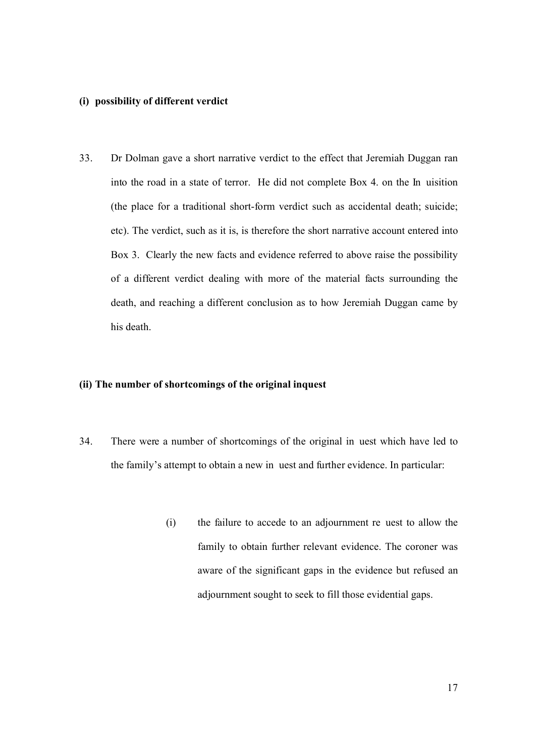#### **(i) possibility of different verdict**

33. Dr Dolman gave a short narrative verdict to the effect that Jeremiah Duggan ran into the road in a state of terror. He did not complete Box 4. on the In uisition (the place for a traditional short-form verdict such as accidental death; suicide; etc). The verdict, such as it is, is therefore the short narrative account entered into Box 3. Clearly the new facts and evidence referred to above raise the possibility of a different verdict dealing with more of the material facts surrounding the death, and reaching a different conclusion as to how Jeremiah Duggan came by his death.

## **(ii) The number of shortcomings of the original inquest**

- 34. There were a number of shortcomings of the original in uest which have led to the family's attempt to obtain a new in uest and further evidence. In particular:
	- (i) the failure to accede to an adjournment re uest to allow the family to obtain further relevant evidence. The coroner was aware of the significant gaps in the evidence but refused an adjournment sought to seek to fill those evidential gaps.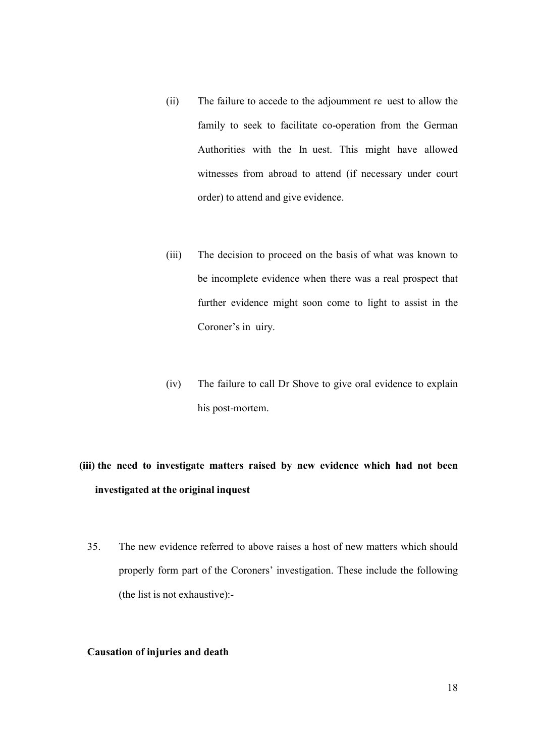- (ii) The failure to accede to the adjournment re uest to allow the family to seek to facilitate co-operation from the German Authorities with the In uest. This might have allowed witnesses from abroad to attend (if necessary under court order) to attend and give evidence.
- (iii) The decision to proceed on the basis of what was known to be incomplete evidence when there was a real prospect that further evidence might soon come to light to assist in the Coroner's in uiry.
- (iv) The failure to call Dr Shove to give oral evidence to explain his post-mortem.

# **(iii) the need to investigate matters raised by new evidence which had not been investigated at the original inquest**

35. The new evidence referred to above raises a host of new matters which should properly form part of the Coroners' investigation. These include the following (the list is not exhaustive):-

#### **Causation of injuries and death**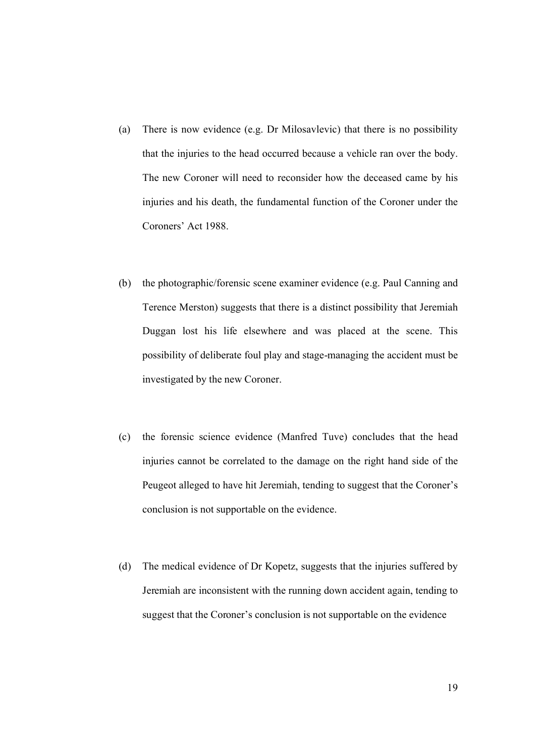- (a) There is now evidence (e.g. Dr Milosavlevic) that there is no possibility that the injuries to the head occurred because a vehicle ran over the body. The new Coroner will need to reconsider how the deceased came by his injuries and his death, the fundamental function of the Coroner under the Coroners' Act 1988.
- (b) the photographic/forensic scene examiner evidence (e.g. Paul Canning and Terence Merston) suggests that there is a distinct possibility that Jeremiah Duggan lost his life elsewhere and was placed at the scene. This possibility of deliberate foul play and stage-managing the accident must be investigated by the new Coroner.
- (c) the forensic science evidence (Manfred Tuve) concludes that the head injuries cannot be correlated to the damage on the right hand side of the Peugeot alleged to have hit Jeremiah, tending to suggest that the Coroner's conclusion is not supportable on the evidence.
- (d) The medical evidence of Dr Kopetz, suggests that the injuries suffered by Jeremiah are inconsistent with the running down accident again, tending to suggest that the Coroner's conclusion is not supportable on the evidence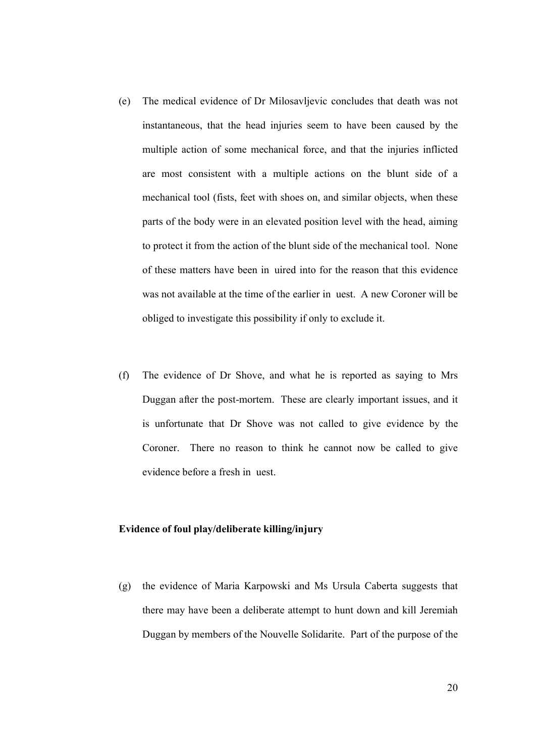- (e) The medical evidence of Dr Milosavljevic concludes that death was not instantaneous, that the head injuries seem to have been caused by the multiple action of some mechanical force, and that the injuries inflicted are most consistent with a multiple actions on the blunt side of a mechanical tool (fists, feet with shoes on, and similar objects, when these parts of the body were in an elevated position level with the head, aiming to protect it from the action of the blunt side of the mechanical tool. None of these matters have been in uired into for the reason that this evidence was not available at the time of the earlier in uest. A new Coroner will be obliged to investigate this possibility if only to exclude it.
- (f) The evidence of Dr Shove, and what he is reported as saying to Mrs Duggan after the post-mortem. These are clearly important issues, and it is unfortunate that Dr Shove was not called to give evidence by the Coroner. There no reason to think he cannot now be called to give evidence before a fresh in uest.

#### **Evidence of foul play/deliberate killing/injury**

(g) the evidence of Maria Karpowski and Ms Ursula Caberta suggests that there may have been a deliberate attempt to hunt down and kill Jeremiah Duggan by members of the Nouvelle Solidarite. Part of the purpose of the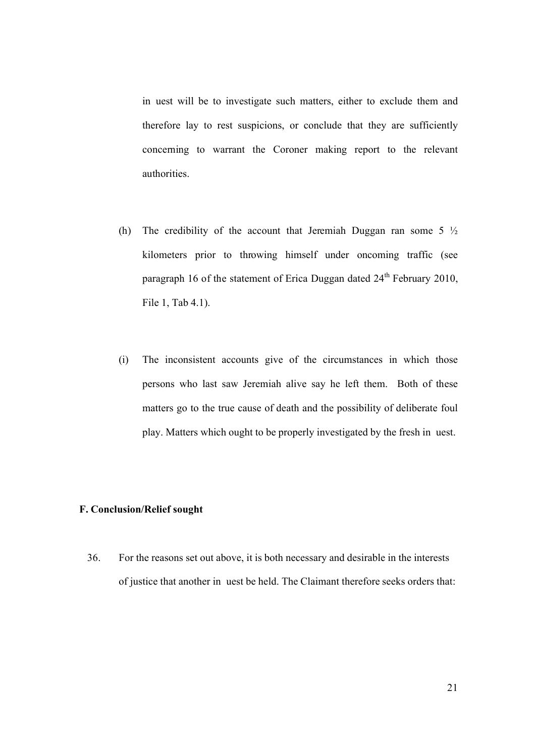in uest will be to investigate such matters, either to exclude them and therefore lay to rest suspicions, or conclude that they are sufficiently concerning to warrant the Coroner making report to the relevant authorities.

- (h) The credibility of the account that Jeremiah Duggan ran some  $5\frac{1}{2}$ kilometers prior to throwing himself under oncoming traffic (see paragraph 16 of the statement of Erica Duggan dated  $24<sup>th</sup>$  February 2010, File 1, Tab 4.1).
- (i) The inconsistent accounts give of the circumstances in which those persons who last saw Jeremiah alive say he left them. Both of these matters go to the true cause of death and the possibility of deliberate foul play. Matters which ought to be properly investigated by the fresh in uest.

## **F. Conclusion/Relief sought**

36. For the reasons set out above, it is both necessary and desirable in the interests of justice that another in uest be held. The Claimant therefore seeks orders that: